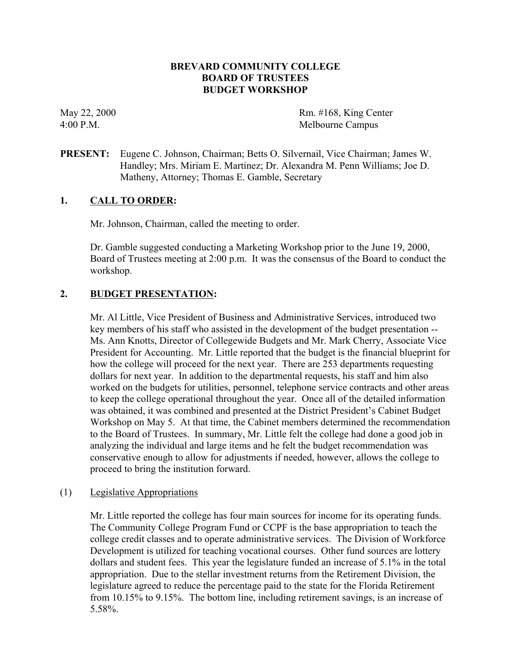# **BREVARD COMMUNITY COLLEGE BOARD OF TRUSTEES BUDGET WORKSHOP**

May 22, 2000 Rm. #168, King Center 4:00 P.M. Melbourne Campus

**PRESENT:** Eugene C. Johnson, Chairman; Betts O. Silvernail, Vice Chairman; James W. Handley; Mrs. Miriam E. Martinez; Dr. Alexandra M. Penn Williams; Joe D. Matheny, Attorney; Thomas E. Gamble, Secretary

### **1. CALL TO ORDER:**

Mr. Johnson, Chairman, called the meeting to order.

Dr. Gamble suggested conducting a Marketing Workshop prior to the June 19, 2000, Board of Trustees meeting at 2:00 p.m. It was the consensus of the Board to conduct the workshop.

# **2. BUDGET PRESENTATION:**

Mr. Al Little, Vice President of Business and Administrative Services, introduced two key members of his staff who assisted in the development of the budget presentation -- Ms. Ann Knotts, Director of Collegewide Budgets and Mr. Mark Cherry, Associate Vice President for Accounting. Mr. Little reported that the budget is the financial blueprint for how the college will proceed for the next year. There are 253 departments requesting dollars for next year. In addition to the departmental requests, his staff and him also worked on the budgets for utilities, personnel, telephone service contracts and other areas to keep the college operational throughout the year. Once all of the detailed information was obtained, it was combined and presented at the District President's Cabinet Budget Workshop on May 5. At that time, the Cabinet members determined the recommendation to the Board of Trustees. In summary, Mr. Little felt the college had done a good job in analyzing the individual and large items and he felt the budget recommendation was conservative enough to allow for adjustments if needed, however, allows the college to proceed to bring the institution forward.

### (1) Legislative Appropriations

Mr. Little reported the college has four main sources for income for its operating funds. The Community College Program Fund or CCPF is the base appropriation to teach the college credit classes and to operate administrative services. The Division of Workforce Development is utilized for teaching vocational courses. Other fund sources are lottery dollars and student fees. This year the legislature funded an increase of 5.1% in the total appropriation. Due to the stellar investment returns from the Retirement Division, the legislature agreed to reduce the percentage paid to the state for the Florida Retirement from 10.15% to 9.15%. The bottom line, including retirement savings, is an increase of 5.58%.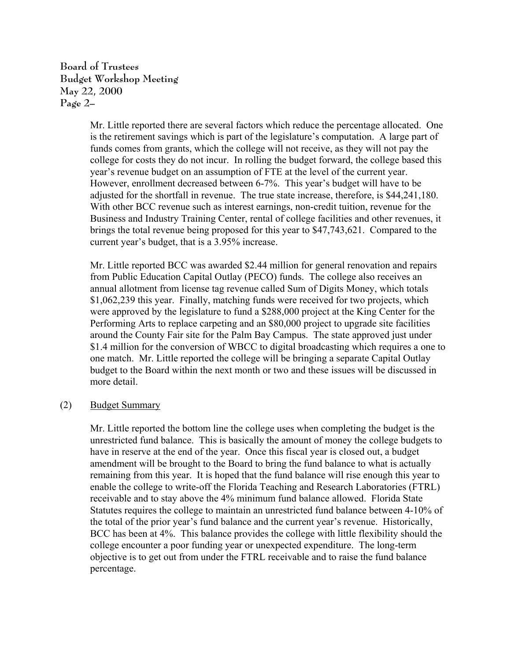**Board of Trustees Budget Workshop Meeting May 22, 2000 Page 2–**

> Mr. Little reported there are several factors which reduce the percentage allocated. One is the retirement savings which is part of the legislature's computation. A large part of funds comes from grants, which the college will not receive, as they will not pay the college for costs they do not incur. In rolling the budget forward, the college based this year's revenue budget on an assumption of FTE at the level of the current year. However, enrollment decreased between 6-7%. This year's budget will have to be adjusted for the shortfall in revenue. The true state increase, therefore, is \$44,241,180. With other BCC revenue such as interest earnings, non-credit tuition, revenue for the Business and Industry Training Center, rental of college facilities and other revenues, it brings the total revenue being proposed for this year to \$47,743,621. Compared to the current year's budget, that is a 3.95% increase.

> Mr. Little reported BCC was awarded \$2.44 million for general renovation and repairs from Public Education Capital Outlay (PECO) funds. The college also receives an annual allotment from license tag revenue called Sum of Digits Money, which totals \$1,062,239 this year. Finally, matching funds were received for two projects, which were approved by the legislature to fund a \$288,000 project at the King Center for the Performing Arts to replace carpeting and an \$80,000 project to upgrade site facilities around the County Fair site for the Palm Bay Campus. The state approved just under \$1.4 million for the conversion of WBCC to digital broadcasting which requires a one to one match. Mr. Little reported the college will be bringing a separate Capital Outlay budget to the Board within the next month or two and these issues will be discussed in more detail.

(2) Budget Summary

Mr. Little reported the bottom line the college uses when completing the budget is the unrestricted fund balance. This is basically the amount of money the college budgets to have in reserve at the end of the year. Once this fiscal year is closed out, a budget amendment will be brought to the Board to bring the fund balance to what is actually remaining from this year. It is hoped that the fund balance will rise enough this year to enable the college to write-off the Florida Teaching and Research Laboratories (FTRL) receivable and to stay above the 4% minimum fund balance allowed. Florida State Statutes requires the college to maintain an unrestricted fund balance between 4-10% of the total of the prior year's fund balance and the current year's revenue. Historically, BCC has been at 4%. This balance provides the college with little flexibility should the college encounter a poor funding year or unexpected expenditure. The long-term objective is to get out from under the FTRL receivable and to raise the fund balance percentage.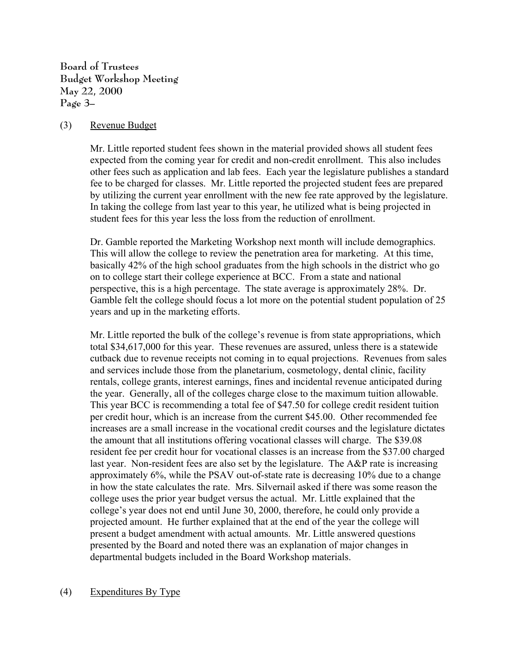**Board of Trustees Budget Workshop Meeting May 22, 2000 Page 3–**

### (3) Revenue Budget

Mr. Little reported student fees shown in the material provided shows all student fees expected from the coming year for credit and non-credit enrollment. This also includes other fees such as application and lab fees. Each year the legislature publishes a standard fee to be charged for classes. Mr. Little reported the projected student fees are prepared by utilizing the current year enrollment with the new fee rate approved by the legislature. In taking the college from last year to this year, he utilized what is being projected in student fees for this year less the loss from the reduction of enrollment.

Dr. Gamble reported the Marketing Workshop next month will include demographics. This will allow the college to review the penetration area for marketing. At this time, basically 42% of the high school graduates from the high schools in the district who go on to college start their college experience at BCC. From a state and national perspective, this is a high percentage. The state average is approximately 28%. Dr. Gamble felt the college should focus a lot more on the potential student population of 25 years and up in the marketing efforts.

Mr. Little reported the bulk of the college's revenue is from state appropriations, which total \$34,617,000 for this year. These revenues are assured, unless there is a statewide cutback due to revenue receipts not coming in to equal projections. Revenues from sales and services include those from the planetarium, cosmetology, dental clinic, facility rentals, college grants, interest earnings, fines and incidental revenue anticipated during the year. Generally, all of the colleges charge close to the maximum tuition allowable. This year BCC is recommending a total fee of \$47.50 for college credit resident tuition per credit hour, which is an increase from the current \$45.00. Other recommended fee increases are a small increase in the vocational credit courses and the legislature dictates the amount that all institutions offering vocational classes will charge. The \$39.08 resident fee per credit hour for vocational classes is an increase from the \$37.00 charged last year. Non-resident fees are also set by the legislature. The A&P rate is increasing approximately 6%, while the PSAV out-of-state rate is decreasing 10% due to a change in how the state calculates the rate. Mrs. Silvernail asked if there was some reason the college uses the prior year budget versus the actual. Mr. Little explained that the college's year does not end until June 30, 2000, therefore, he could only provide a projected amount. He further explained that at the end of the year the college will present a budget amendment with actual amounts. Mr. Little answered questions presented by the Board and noted there was an explanation of major changes in departmental budgets included in the Board Workshop materials.

#### (4) Expenditures By Type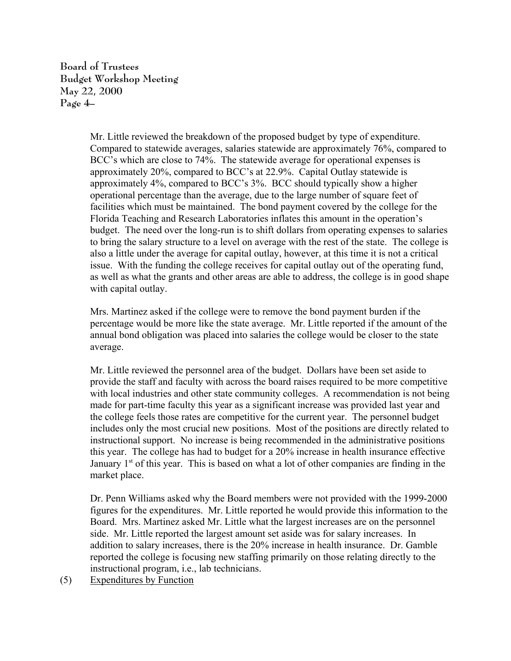**Board of Trustees Budget Workshop Meeting May 22, 2000 Page 4–**

> Mr. Little reviewed the breakdown of the proposed budget by type of expenditure. Compared to statewide averages, salaries statewide are approximately 76%, compared to BCC's which are close to 74%. The statewide average for operational expenses is approximately 20%, compared to BCC's at 22.9%. Capital Outlay statewide is approximately 4%, compared to BCC's 3%. BCC should typically show a higher operational percentage than the average, due to the large number of square feet of facilities which must be maintained. The bond payment covered by the college for the Florida Teaching and Research Laboratories inflates this amount in the operation's budget. The need over the long-run is to shift dollars from operating expenses to salaries to bring the salary structure to a level on average with the rest of the state. The college is also a little under the average for capital outlay, however, at this time it is not a critical issue. With the funding the college receives for capital outlay out of the operating fund, as well as what the grants and other areas are able to address, the college is in good shape with capital outlay.

> Mrs. Martinez asked if the college were to remove the bond payment burden if the percentage would be more like the state average. Mr. Little reported if the amount of the annual bond obligation was placed into salaries the college would be closer to the state average.

> Mr. Little reviewed the personnel area of the budget. Dollars have been set aside to provide the staff and faculty with across the board raises required to be more competitive with local industries and other state community colleges. A recommendation is not being made for part-time faculty this year as a significant increase was provided last year and the college feels those rates are competitive for the current year. The personnel budget includes only the most crucial new positions. Most of the positions are directly related to instructional support. No increase is being recommended in the administrative positions this year. The college has had to budget for a 20% increase in health insurance effective January  $1<sup>st</sup>$  of this year. This is based on what a lot of other companies are finding in the market place.

> Dr. Penn Williams asked why the Board members were not provided with the 1999-2000 figures for the expenditures. Mr. Little reported he would provide this information to the Board. Mrs. Martinez asked Mr. Little what the largest increases are on the personnel side. Mr. Little reported the largest amount set aside was for salary increases. In addition to salary increases, there is the 20% increase in health insurance. Dr. Gamble reported the college is focusing new staffing primarily on those relating directly to the instructional program, i.e., lab technicians.

(5) Expenditures by Function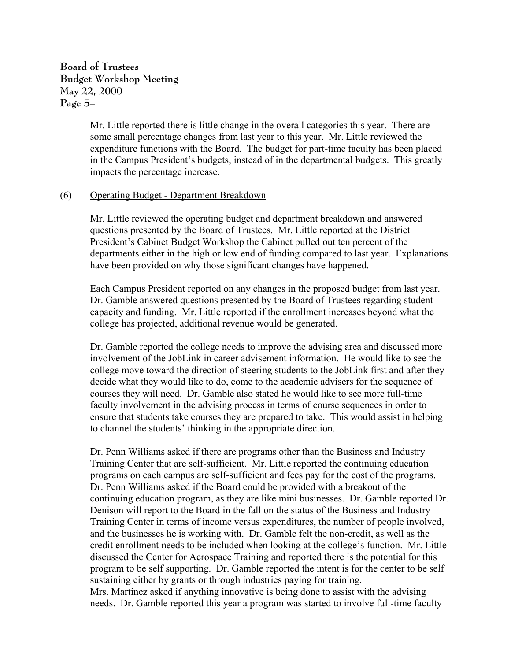**Board of Trustees Budget Workshop Meeting May 22, 2000 Page 5–**

> Mr. Little reported there is little change in the overall categories this year. There are some small percentage changes from last year to this year. Mr. Little reviewed the expenditure functions with the Board. The budget for part-time faculty has been placed in the Campus President's budgets, instead of in the departmental budgets. This greatly impacts the percentage increase.

#### (6) Operating Budget - Department Breakdown

Mr. Little reviewed the operating budget and department breakdown and answered questions presented by the Board of Trustees. Mr. Little reported at the District President's Cabinet Budget Workshop the Cabinet pulled out ten percent of the departments either in the high or low end of funding compared to last year. Explanations have been provided on why those significant changes have happened.

Each Campus President reported on any changes in the proposed budget from last year. Dr. Gamble answered questions presented by the Board of Trustees regarding student capacity and funding. Mr. Little reported if the enrollment increases beyond what the college has projected, additional revenue would be generated.

Dr. Gamble reported the college needs to improve the advising area and discussed more involvement of the JobLink in career advisement information. He would like to see the college move toward the direction of steering students to the JobLink first and after they decide what they would like to do, come to the academic advisers for the sequence of courses they will need. Dr. Gamble also stated he would like to see more full-time faculty involvement in the advising process in terms of course sequences in order to ensure that students take courses they are prepared to take. This would assist in helping to channel the students' thinking in the appropriate direction.

Dr. Penn Williams asked if there are programs other than the Business and Industry Training Center that are self-sufficient. Mr. Little reported the continuing education programs on each campus are self-sufficient and fees pay for the cost of the programs. Dr. Penn Williams asked if the Board could be provided with a breakout of the continuing education program, as they are like mini businesses. Dr. Gamble reported Dr. Denison will report to the Board in the fall on the status of the Business and Industry Training Center in terms of income versus expenditures, the number of people involved, and the businesses he is working with. Dr. Gamble felt the non-credit, as well as the credit enrollment needs to be included when looking at the college's function. Mr. Little discussed the Center for Aerospace Training and reported there is the potential for this program to be self supporting. Dr. Gamble reported the intent is for the center to be self sustaining either by grants or through industries paying for training. Mrs. Martinez asked if anything innovative is being done to assist with the advising

needs. Dr. Gamble reported this year a program was started to involve full-time faculty